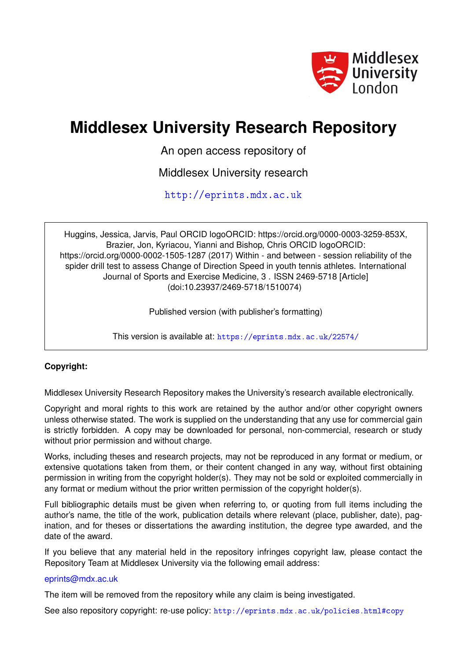

# **Middlesex University Research Repository**

An open access repository of

Middlesex University research

<http://eprints.mdx.ac.uk>

Huggins, Jessica, Jarvis, Paul ORCID logoORCID: https://orcid.org/0000-0003-3259-853X, Brazier, Jon, Kyriacou, Yianni and Bishop, Chris ORCID logoORCID: https://orcid.org/0000-0002-1505-1287 (2017) Within - and between - session reliability of the spider drill test to assess Change of Direction Speed in youth tennis athletes. International Journal of Sports and Exercise Medicine, 3 . ISSN 2469-5718 [Article] (doi:10.23937/2469-5718/1510074)

Published version (with publisher's formatting)

This version is available at: <https://eprints.mdx.ac.uk/22574/>

# **Copyright:**

Middlesex University Research Repository makes the University's research available electronically.

Copyright and moral rights to this work are retained by the author and/or other copyright owners unless otherwise stated. The work is supplied on the understanding that any use for commercial gain is strictly forbidden. A copy may be downloaded for personal, non-commercial, research or study without prior permission and without charge.

Works, including theses and research projects, may not be reproduced in any format or medium, or extensive quotations taken from them, or their content changed in any way, without first obtaining permission in writing from the copyright holder(s). They may not be sold or exploited commercially in any format or medium without the prior written permission of the copyright holder(s).

Full bibliographic details must be given when referring to, or quoting from full items including the author's name, the title of the work, publication details where relevant (place, publisher, date), pagination, and for theses or dissertations the awarding institution, the degree type awarded, and the date of the award.

If you believe that any material held in the repository infringes copyright law, please contact the Repository Team at Middlesex University via the following email address:

# [eprints@mdx.ac.uk](mailto:eprints@mdx.ac.uk)

The item will be removed from the repository while any claim is being investigated.

See also repository copyright: re-use policy: <http://eprints.mdx.ac.uk/policies.html#copy>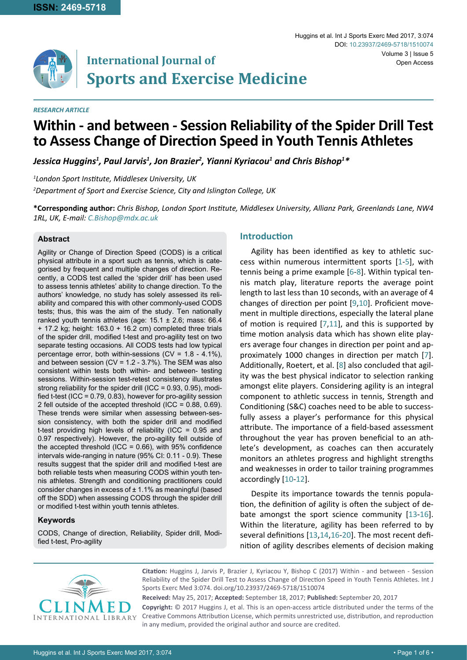

Huggins et al. Int J Sports Exerc Med 2017, 3:074 Volume 3 | Issue 5 DOI: [10.23937/2469-5718/151007](https://doi.org/10.23937/2469-5718/1510074)4 Open Access

#### *RESEARCH ARTICLE*

# **Within - and between - Session Reliability of the Spider Drill Test to Assess Change of Direction Speed in Youth Tennis Athletes**

Jessica Huggins<sup>1</sup>, Paul Jarvis<sup>1</sup>, Jon Brazier<sup>2</sup>, Yianni Kyriacou<sup>1</sup> and Chris Bishop<sup>1\*</sup>

*1 London Sport Institute, Middlesex University, UK 2 Department of Sport and Exercise Science, City and Islington College, UK*

**\*Corresponding author:** *Chris Bishop, London Sport Institute, Middlesex University, Allianz Park, Greenlands Lane, NW4 1RL, UK, E-mail: C.Bishop@mdx.ac.uk*

#### **Abstract**

Agility or Change of Direction Speed (CODS) is a critical physical attribute in a sport such as tennis, which is categorised by frequent and multiple changes of direction. Recently, a CODS test called the 'spider drill' has been used to assess tennis athletes' ability to change direction. To the authors' knowledge, no study has solely assessed its reliability and compared this with other commonly-used CODS tests; thus, this was the aim of the study. Ten nationally ranked youth tennis athletes (age: 15.1 ± 2.6; mass: 66.4 + 17.2 kg; height: 163.0 + 16.2 cm) completed three trials of the spider drill, modified t-test and pro-agility test on two separate testing occasions. All CODS tests had low typical percentage error, both within-sessions (CV = 1.8 - 4.1%), and between session (CV =  $1.2 - 3.7%$ ). The SEM was also consistent within tests both within- and between- testing sessions. Within-session test-retest consistency illustrates strong reliability for the spider drill (ICC = 0.93, 0.95), modified t-test (ICC = 0.79, 0.83), however for pro-agility session 2 fell outside of the accepted threshold (ICC = 0.88, 0.69). These trends were similar when assessing between-session consistency, with both the spider drill and modified t-test providing high levels of reliability (ICC = 0.95 and 0.97 respectively). However, the pro-agility fell outside of the accepted threshold (ICC =  $0.66$ ), with 95% confidence intervals wide-ranging in nature (95% CI: 0.11 - 0.9). These results suggest that the spider drill and modified t-test are both reliable tests when measuring CODS within youth tennis athletes. Strength and conditioning practitioners could consider changes in excess of  $\pm$  1.1% as meaningful (based off the SDD) when assessing CODS through the spider drill or modified t-test within youth tennis athletes.

#### **Keywords**

CODS, Change of direction, Reliability, Spider drill, Modified t-test, Pro-agility

#### **Introduction**

Agility has been identified as key to athletic success within numerous intermittent sports [[1](#page-5-0)-[5](#page-5-1)], with tennis being a prime example [[6](#page-5-2)-[8](#page-5-3)]. Within typical tennis match play, literature reports the average point length to last less than 10 seconds, with an average of 4 changes of direction per point [\[9](#page-5-4),[10](#page-5-5)]. Proficient movement in multiple directions, especially the lateral plane of motion is required [[7,](#page-5-6)[11\]](#page-5-7), and this is supported by time motion analysis data which has shown elite players average four changes in direction per point and approximately 1000 changes in direction per match [[7](#page-5-6)]. Additionally, Roetert, et al. [\[8](#page-5-3)] also concluded that agility was the best physical indicator to selection ranking amongst elite players. Considering agility is an integral component to athletic success in tennis, Strength and Conditioning (S&C) coaches need to be able to successfully assess a player's performance for this physical attribute. The importance of a field-based assessment throughout the year has proven beneficial to an athlete's development, as coaches can then accurately monitors an athletes progress and highlight strengths and weaknesses in order to tailor training programmes accordingly [[10](#page-5-5)[-12](#page-6-0)].

Despite its importance towards the tennis population, the definition of agility is often the subject of debate amongst the sport science community [[13](#page-6-1)-[16\]](#page-6-2). Within the literature, agility has been referred to by several definitions [[13](#page-6-1),[14](#page-6-3),[16](#page-6-2)[-20](#page-6-4)]. The most recent definition of agility describes elements of decision making



**Citation:** Huggins J, Jarvis P, Brazier J, Kyriacou Y, Bishop C (2017) Within - and between - Session Reliability of the Spider Drill Test to Assess Change of Direction Speed in Youth Tennis Athletes. Int J Sports Exerc Med 3:074. [doi.org/10.23937/2469-5718/151007](https://doi.org/10.23937/2469-5718/1510074)4

**Received:** May 25, 2017; **Accepted:** September 18, 2017; **Published:** September 20, 2017 **Copyright:** © 2017 Huggins J, et al. This is an open-access article distributed under the terms of the Creative Commons Attribution License, which permits unrestricted use, distribution, and reproduction in any medium, provided the original author and source are credited.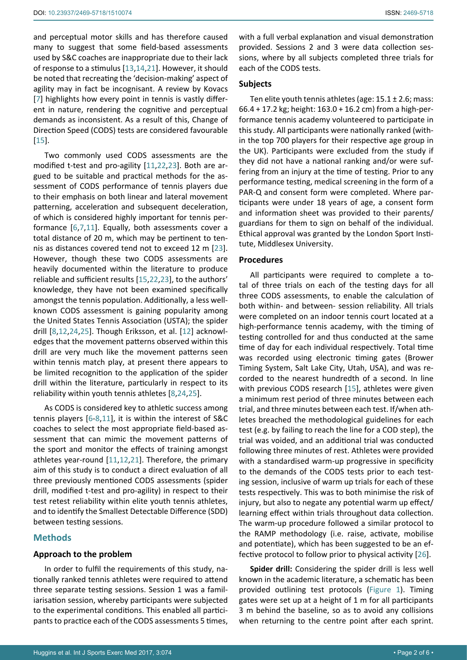and perceptual motor skills and has therefore caused many to suggest that some field-based assessments used by S&C coaches are inappropriate due to their lack of response to a stimulus [[13](#page-6-1)[,14,](#page-6-3)[21](#page-6-5)]. However, it should be noted that recreating the 'decision-making' aspect of agility may in fact be incognisant. A review by Kovacs [[7](#page-5-6)] highlights how every point in tennis is vastly different in nature, rendering the cognitive and perceptual demands as inconsistent. As a result of this, Change of Direction Speed (CODS) tests are considered favourable [[15](#page-6-6)].

Two commonly used CODS assessments are the modified t-test and pro-agility [[11](#page-5-7)[,22,](#page-6-7)[23](#page-6-8)]. Both are argued to be suitable and practical methods for the assessment of CODS performance of tennis players due to their emphasis on both linear and lateral movement patterning, acceleration and subsequent deceleration, of which is considered highly important for tennis performance [\[6](#page-5-2)[,7](#page-5-6),[11](#page-5-7)]. Equally, both assessments cover a total distance of 20 m, which may be pertinent to tennis as distances covered tend not to exceed 12 m [[23](#page-6-8)]. However, though these two CODS assessments are heavily documented within the literature to produce reliable and sufficient results [[15](#page-6-6),[22](#page-6-7)[,23\]](#page-6-8), to the authors' knowledge, they have not been examined specifically amongst the tennis population. Additionally, a less wellknown CODS assessment is gaining popularity among the United States Tennis Association (USTA); the spider drill [\[8](#page-5-3),[12,](#page-6-0)[24,](#page-6-9)[25\]](#page-6-10). Though Eriksson, et al. [[12](#page-6-0)] acknowledges that the movement patterns observed within this drill are very much like the movement patterns seen within tennis match play, at present there appears to be limited recognition to the application of the spider drill within the literature, particularly in respect to its reliability within youth tennis athletes [[8](#page-5-3)[,24](#page-6-9),[25](#page-6-10)].

As CODS is considered key to athletic success among tennis players [[6](#page-5-2)-[8](#page-5-3),[11](#page-5-7)], it is within the interest of S&C coaches to select the most appropriate field-based assessment that can mimic the movement patterns of the sport and monitor the effects of training amongst athletes year-round [[11](#page-5-7)[,12,](#page-6-0)[21](#page-6-5)]. Therefore, the primary aim of this study is to conduct a direct evaluation of all three previously mentioned CODS assessments (spider drill, modified t-test and pro-agility) in respect to their test retest reliability within elite youth tennis athletes, and to identify the Smallest Detectable Difference (SDD) between testing sessions.

# **Methods**

#### **Approach to the problem**

In order to fulfil the requirements of this study, nationally ranked tennis athletes were required to attend three separate testing sessions. Session 1 was a familiarisation session, whereby participants were subjected to the experimental conditions. This enabled all participants to practice each of the CODS assessments 5 times, with a full verbal explanation and visual demonstration provided. Sessions 2 and 3 were data collection sessions, where by all subjects completed three trials for each of the CODS tests.

# **Subjects**

Ten elite youth tennis athletes (age:  $15.1 \pm 2.6$ ; mass: 66.4 + 17.2 kg; height: 163.0 + 16.2 cm) from a high-performance tennis academy volunteered to participate in this study. All participants were nationally ranked (within the top 700 players for their respective age group in the UK). Participants were excluded from the study if they did not have a national ranking and/or were suffering from an injury at the time of testing. Prior to any performance testing, medical screening in the form of a PAR-Q and consent form were completed. Where participants were under 18 years of age, a consent form and information sheet was provided to their parents/ guardians for them to sign on behalf of the individual. Ethical approval was granted by the London Sport Institute, Middlesex University.

#### **Procedures**

All participants were required to complete a total of three trials on each of the testing days for all three CODS assessments, to enable the calculation of both within- and between- session reliability. All trials were completed on an indoor tennis court located at a high-performance tennis academy, with the timing of testing controlled for and thus conducted at the same time of day for each individual respectively. Total time was recorded using electronic timing gates (Brower Timing System, Salt Lake City, Utah, USA), and was recorded to the nearest hundredth of a second. In line with previous CODS research [[15](#page-6-6)], athletes were given a minimum rest period of three minutes between each trial, and three minutes between each test. If/when athletes breached the methodological guidelines for each test (e.g. by failing to reach the line for a COD step), the trial was voided, and an additional trial was conducted following three minutes of rest. Athletes were provided with a standardised warm-up progressive in specificity to the demands of the CODS tests prior to each testing session, inclusive of warm up trials for each of these tests respectively. This was to both minimise the risk of injury, but also to negate any potential warm up effect/ learning effect within trials throughout data collection. The warm-up procedure followed a similar protocol to the RAMP methodology (i.e. raise, activate, mobilise and potentiate), which has been suggested to be an effective protocol to follow prior to physical activity [[26\]](#page-6-11).

**Spider drill:** Considering the spider drill is less well known in the academic literature, a schematic has been provided outlining test protocols [\(Figure 1](#page-3-0)). Timing gates were set up at a height of 1 m for all participants 3 m behind the baseline, so as to avoid any collisions when returning to the centre point after each sprint.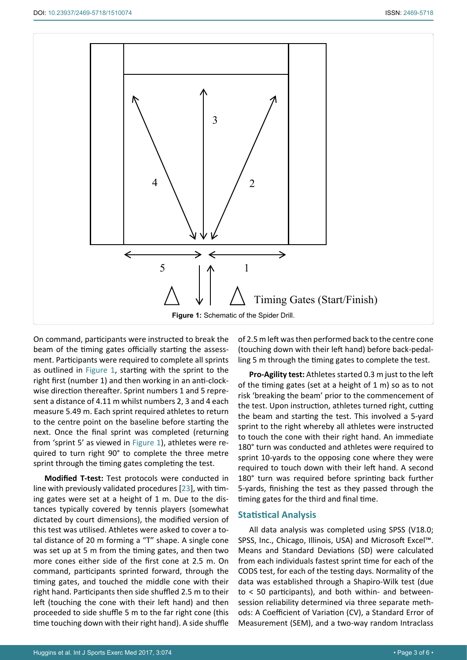<span id="page-3-0"></span>

On command, participants were instructed to break the beam of the timing gates officially starting the assessment. Participants were required to complete all sprints as outlined in [Figure 1](#page-3-0), starting with the sprint to the right first (number 1) and then working in an anti-clockwise direction thereafter. Sprint numbers 1 and 5 represent a distance of 4.11 m whilst numbers 2, 3 and 4 each measure 5.49 m. Each sprint required athletes to return to the centre point on the baseline before starting the next. Once the final sprint was completed (returning from 'sprint 5' as viewed in [Figure 1](#page-3-0)), athletes were required to turn right 90° to complete the three metre sprint through the timing gates completing the test.

**Modified T-test:** Test protocols were conducted in line with previously validated procedures [[23](#page-6-8)], with timing gates were set at a height of 1 m. Due to the distances typically covered by tennis players (somewhat dictated by court dimensions), the modified version of this test was utilised. Athletes were asked to cover a total distance of 20 m forming a "T" shape. A single cone was set up at 5 m from the timing gates, and then two more cones either side of the first cone at 2.5 m. On command, participants sprinted forward, through the timing gates, and touched the middle cone with their right hand. Participants then side shuffled 2.5 m to their left (touching the cone with their left hand) and then proceeded to side shuffle 5 m to the far right cone (this time touching down with their right hand). A side shuffle

of 2.5 m left was then performed back to the centre cone (touching down with their left hand) before back-pedalling 5 m through the timing gates to complete the test.

**Pro-Agility test:** Athletes started 0.3 m just to the left of the timing gates (set at a height of 1 m) so as to not risk 'breaking the beam' prior to the commencement of the test. Upon instruction, athletes turned right, cutting the beam and starting the test. This involved a 5-yard sprint to the right whereby all athletes were instructed to touch the cone with their right hand. An immediate 180° turn was conducted and athletes were required to sprint 10-yards to the opposing cone where they were required to touch down with their left hand. A second 180° turn was required before sprinting back further 5-yards, finishing the test as they passed through the timing gates for the third and final time.

#### **Statistical Analysis**

All data analysis was completed using SPSS (V18.0; SPSS, Inc., Chicago, Illinois, USA) and Microsoft Excel™. Means and Standard Deviations (SD) were calculated from each individuals fastest sprint time for each of the CODS test, for each of the testing days. Normality of the data was established through a Shapiro-Wilk test (due to < 50 participants), and both within- and betweensession reliability determined via three separate methods: A Coefficient of Variation (CV), a Standard Error of Measurement (SEM), and a two-way random Intraclass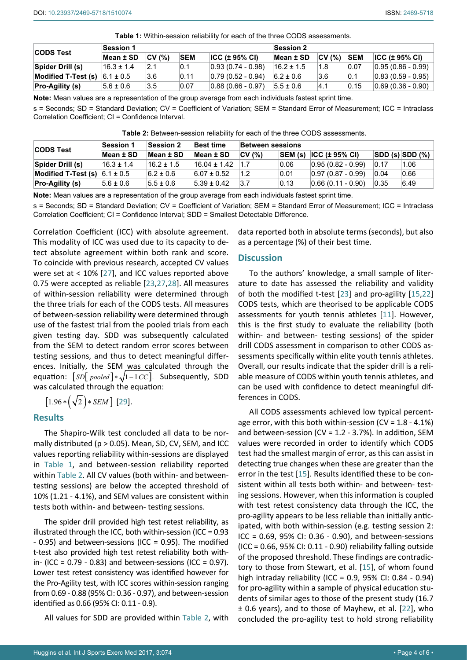<span id="page-4-0"></span>

| <b>CODS Test</b>           | <b>Session 1</b> |        |            |                       | <b>Session 2</b> |        |            |                       |
|----------------------------|------------------|--------|------------|-----------------------|------------------|--------|------------|-----------------------|
|                            | Mean ± SD        | CV (%) | <b>SEM</b> | ICC (± 95% CI)        | Mean ± SD        | CV(% ) | <b>SEM</b> | ICC (± 95% CI)        |
| Spider Drill (s)           | $16.3 \pm 1.4$   | 2.1    | 0.1        | $ 0.93(0.74-0.98) $   | 16.2 ± 1.5       | 1.8    | 0.07       | $ 0.95(0.86 - 0.99) $ |
| <b>Modified T-Test (s)</b> | $6.1 \pm 0.5$    | 3.6    | 0.11       | $ 0.79(0.52 - 0.94) $ | $6.2 \pm 0.6$    | 3.6    | 0.1        | $ 0.83(0.59 - 0.95) $ |
| <b>Pro-Agility (s)</b>     | $5.6 \pm 0.6$    | 3.5    | 0.07       | $ 0.88(0.66 - 0.97) $ | $15.5 \pm 0.6$   | 4.1    | 0.15       | $ 0.69(0.36 - 0.90) $ |

**Note:** Mean values are a representation of the group average from each individuals fastest sprint time.

s = Seconds; SD = Standard Deviation; CV = Coefficient of Variation; SEM = Standard Error of Measurement; ICC = Intraclass Correlation Coefficient; CI = Confidence Interval.

<span id="page-4-1"></span>**Table 2:** Between-session reliability for each of the three CODS assessments.

| <b>CODS Test</b>       | <b>Session 1</b> | <b>Session 2</b> | <b>Best time</b> | Between sessions |         |                       |                |                   |
|------------------------|------------------|------------------|------------------|------------------|---------|-----------------------|----------------|-------------------|
|                        | Mean ± SD        | Mean ± SD        | Mean ± SD        | CV (%)           | SEM (s) | $ ICC (± 95\% CI) $   |                | $ SDD(s) SDD(\%)$ |
| Spider Drill (s)       | $16.3 \pm 1.4$   | $16.2 \pm 1.5$   | $16.04 \pm 1.42$ | 1.7              | 0.06    | $ 0.95(0.82 - 0.99) $ | 0.17           | 1.06              |
| Modified T-Test (s)    | $6.1 \pm 0.5$    | $6.2 \pm 0.6$    | $6.07 \pm 0.52$  | 1.2              | 0.01    | $ 0.97(0.87 - 0.99) $ | $ 0.04\rangle$ | 0.66              |
| <b>Pro-Agility (s)</b> | $5.6 \pm 0.6$    | $5.5 \pm 0.6$    | $5.39 \pm 0.42$  | 3.7              | 0.13    | $ 0.66(0.11 - 0.90) $ | 0.35           | 6.49              |

**Note:** Mean values are a representation of the group average from each individuals fastest sprint time.

s = Seconds; SD = Standard Deviation; CV = Coefficient of Variation; SEM = Standard Error of Measurement; ICC = Intraclass Correlation Coefficient; CI = Confidence Interval; SDD = Smallest Detectable Difference.

Correlation Coefficient (ICC) with absolute agreement. This modality of ICC was used due to its capacity to detect absolute agreement within both rank and score. To coincide with previous research, accepted CV values were set at < 10% [[27](#page-6-12)], and ICC values reported above 0.75 were accepted as reliable [[23](#page-6-8)[,27](#page-6-12),[28](#page-6-13)]. All measures of within-session reliability were determined through the three trials for each of the CODS tests. All measures of between-session reliability were determined through use of the fastest trial from the pooled trials from each given testing day. SDD was subsequently calculated from the SEM to detect random error scores between testing sessions, and thus to detect meaningful differences. Initially, the SEM was calculated through the equation:  $\lceil SD[$  *pooled*  $] * \sqrt{1 - I} CC$ . Subsequently, SDD was calculated through the equation:

$$
[1.96*(\sqrt{2})*SEM][29].
$$

# **Results**

The Shapiro-Wilk test concluded all data to be normally distributed ( $p > 0.05$ ). Mean, SD, CV, SEM, and ICC values reporting reliability within-sessions are displayed in [Table 1](#page-4-0), and between-session reliability reported within [Table 2](#page-4-1). All CV values (both within- and betweentesting sessions) are below the accepted threshold of 10% (1.21 - 4.1%), and SEM values are consistent within tests both within- and between- testing sessions.

The spider drill provided high test retest reliability, as illustrated through the ICC, both within-session (ICC = 0.93 - 0.95) and between-sessions (ICC = 0.95). The modified t-test also provided high test retest reliability both within- (ICC =  $0.79 - 0.83$ ) and between-sessions (ICC =  $0.97$ ). Lower test retest consistency was identified however for the Pro-Agility test, with ICC scores within-session ranging from 0.69 - 0.88 (95% CI: 0.36 - 0.97), and between-session identified as 0.66 (95% CI: 0.11 - 0.9).

All values for SDD are provided within [Table 2,](#page-4-1) with

data reported both in absolute terms (seconds), but also as a percentage (%) of their best time.

#### **Discussion**

To the authors' knowledge, a small sample of literature to date has assessed the reliability and validity of both the modified t-test [[23](#page-6-8)] and pro-agility [\[15](#page-6-6)[,22](#page-6-7)] CODS tests, which are theorised to be applicable CODS assessments for youth tennis athletes [[11](#page-5-7)]. However, this is the first study to evaluate the reliability (both within- and between- testing sessions) of the spider drill CODS assessment in comparison to other CODS assessments specifically within elite youth tennis athletes. Overall, our results indicate that the spider drill is a reliable measure of CODS within youth tennis athletes, and can be used with confidence to detect meaningful differences in CODS.

All CODS assessments achieved low typical percentage error, with this both within-session (CV = 1.8 - 4.1%) and between-session (CV =  $1.2 - 3.7%$ ). In addition, SEM values were recorded in order to identify which CODS test had the smallest margin of error, as this can assist in detecting true changes when these are greater than the error in the test [\[15](#page-6-6)]. Results identified these to be consistent within all tests both within- and between- testing sessions. However, when this information is coupled with test retest consistency data through the ICC, the pro-agility appears to be less reliable than initially anticipated, with both within-session (e.g. testing session 2: ICC = 0.69, 95% CI: 0.36 - 0.90), and between-sessions (ICC = 0.66, 95% CI: 0.11 - 0.90) reliability falling outside of the proposed threshold. These findings are contradictory to those from Stewart, et al. [[15](#page-6-6)], of whom found high intraday reliability (ICC = 0.9, 95% CI: 0.84 - 0.94) for pro-agility within a sample of physical education students of similar ages to those of the present study (16.7 ± 0.6 years), and to those of Mayhew, et al. [[22\]](#page-6-7), who concluded the pro-agility test to hold strong reliability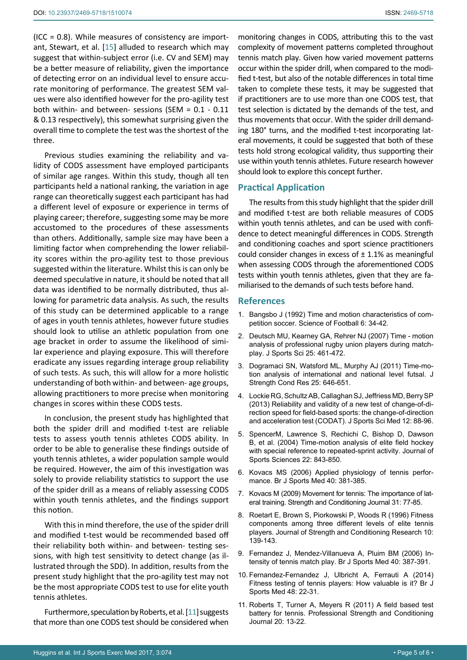$(ICC = 0.8)$ . While measures of consistency are important, Stewart, et al. [[15](#page-6-6)] alluded to research which may suggest that within-subject error (i.e. CV and SEM) may be a better measure of reliability, given the importance of detecting error on an individual level to ensure accurate monitoring of performance. The greatest SEM values were also identified however for the pro-agility test both within- and between- sessions (SEM = 0.1 - 0.11 & 0.13 respectively), this somewhat surprising given the overall time to complete the test was the shortest of the three.

Previous studies examining the reliability and validity of CODS assessment have employed participants of similar age ranges. Within this study, though all ten participants held a national ranking, the variation in age range can theoretically suggest each participant has had a different level of exposure or experience in terms of playing career; therefore, suggesting some may be more accustomed to the procedures of these assessments than others. Additionally, sample size may have been a limiting factor when comprehending the lower reliability scores within the pro-agility test to those previous suggested within the literature. Whilst this is can only be deemed speculative in nature, it should be noted that all data was identified to be normally distributed, thus allowing for parametric data analysis. As such, the results of this study can be determined applicable to a range of ages in youth tennis athletes, however future studies should look to utilise an athletic population from one age bracket in order to assume the likelihood of similar experience and playing exposure. This will therefore eradicate any issues regarding interage group reliability of such tests. As such, this will allow for a more holistic understanding of both within- and between- age groups, allowing practitioners to more precise when monitoring changes in scores within these CODS tests.

In conclusion, the present study has highlighted that both the spider drill and modified t-test are reliable tests to assess youth tennis athletes CODS ability. In order to be able to generalise these findings outside of youth tennis athletes, a wider population sample would be required. However, the aim of this investigation was solely to provide reliability statistics to support the use of the spider drill as a means of reliably assessing CODS within youth tennis athletes, and the findings support this notion.

With this in mind therefore, the use of the spider drill and modified t-test would be recommended based off their reliability both within- and between- testing sessions, with high test sensitivity to detect change (as illustrated through the SDD). In addition, results from the present study highlight that the pro-agility test may not be the most appropriate CODS test to use for elite youth tennis athletes.

Furthermore, speculation by Roberts, et al. [[11](#page-5-7)] suggests that more than one CODS test should be considered when

monitoring changes in CODS, attributing this to the vast complexity of movement patterns completed throughout tennis match play. Given how varied movement patterns occur within the spider drill, when compared to the modified t-test, but also of the notable differences in total time taken to complete these tests, it may be suggested that if practitioners are to use more than one CODS test, that test selection is dictated by the demands of the test, and thus movements that occur. With the spider drill demanding 180° turns, and the modified t-test incorporating lateral movements, it could be suggested that both of these tests hold strong ecological validity, thus supporting their use within youth tennis athletes. Future research however should look to explore this concept further.

# **Practical Application**

The results from this study highlight that the spider drill and modified t-test are both reliable measures of CODS within youth tennis athletes, and can be used with confidence to detect meaningful differences in CODS. Strength and conditioning coaches and sport science practitioners could consider changes in excess of  $\pm$  1.1% as meaningful when assessing CODS through the aforementioned CODS tests within youth tennis athletes, given that they are familiarised to the demands of such tests before hand.

#### **References**

- <span id="page-5-0"></span>1. [Bangsbo J \(1992\) Time and motion characteristics of com](http://research.ku.dk/search/?pure=en/publications/time-and-motion-characteristics-of-competitive-soccer(86af76a0-74cf-11db-bee9-02004c4f4f50)/export.html)[petition soccer. Science of Football 6: 34-42.](http://research.ku.dk/search/?pure=en/publications/time-and-motion-characteristics-of-competitive-soccer(86af76a0-74cf-11db-bee9-02004c4f4f50)/export.html)
- 2. [Deutsch MU, Kearney GA, Rehrer NJ \(2007\) Time motion](http://www.ncbi.nlm.nih.gov/pubmed/17365533)  [analysis of professional rugby union players during match](http://www.ncbi.nlm.nih.gov/pubmed/17365533)play. J Sports Sci [25: 461-472.](http://www.ncbi.nlm.nih.gov/pubmed/17365533)
- 3. [Dogramaci SN, Watsford ML, Murphy AJ \(2011\) Time-mo](http://www.ncbi.nlm.nih.gov/pubmed/20543744)[tion analysis of international and national level futsal.](http://www.ncbi.nlm.nih.gov/pubmed/20543744) J [Strength Cond Res](http://www.ncbi.nlm.nih.gov/pubmed/20543744) 25: 646-651.
- 4. [Lockie RG, Schultz AB, Callaghan SJ, Jeffriess MD, Berry SP](http://www.ncbi.nlm.nih.gov/pubmed/24149730)  [\(2013\) Reliability and validity of a new test of change-of-di](http://www.ncbi.nlm.nih.gov/pubmed/24149730)[rection speed for field-based sports: the change-of-direction](http://www.ncbi.nlm.nih.gov/pubmed/24149730)  [and acceleration test \(CODAT\).](http://www.ncbi.nlm.nih.gov/pubmed/24149730) J Sports Sci Med 12: 88-96.
- <span id="page-5-1"></span>5. [SpencerM, Lawrence S, Rechichi C, Bishop D, Dawson](http://www.tandfonline.com/doi/abs/10.1080/02640410410001716715)  [B, et al. \(2004\) Time-motion analysis of elite field hockey](http://www.tandfonline.com/doi/abs/10.1080/02640410410001716715)  [with special reference to repeated-sprint activity. Journal of](http://www.tandfonline.com/doi/abs/10.1080/02640410410001716715)  [Sports Sciences 22: 843-850.](http://www.tandfonline.com/doi/abs/10.1080/02640410410001716715)
- <span id="page-5-2"></span>6. [Kovacs MS \(2006\) Applied physiology of tennis perfor](http://www.ncbi.nlm.nih.gov/pubmed/16632565)mance. [Br J Sports Med](http://www.ncbi.nlm.nih.gov/pubmed/16632565) 40: 381-385.
- <span id="page-5-6"></span>7. Kovacs M (2009) Movement for tennis: The importance of lateral training. Strength and Conditioning Journal 31: 77-85.
- <span id="page-5-3"></span>8. Roetart E, Brown S, Piorkowski P, Woods R (1996) Fitness components among three different levels of elite tennis players. Journal of Strength and Conditioning Research 10: 139-143.
- <span id="page-5-4"></span>9. [Fernandez J, Mendez-Villanueva A, Pluim BM \(2006\) In](http://www.ncbi.nlm.nih.gov/pubmed/16632566)[tensity of tennis match play.](http://www.ncbi.nlm.nih.gov/pubmed/16632566) Br J Sports Med 40: 387-391.
- <span id="page-5-5"></span>10. [Fernandez-Fernandez J, Ulbricht A, Ferrauti A \(2014\)](http://www.ncbi.nlm.nih.gov/pubmed/24668375)  [Fitness testing of tennis players: How valuable is it?](http://www.ncbi.nlm.nih.gov/pubmed/24668375) Br J [Sports Med](http://www.ncbi.nlm.nih.gov/pubmed/24668375) 48: 22-31.
- <span id="page-5-7"></span>11. [Roberts T, Turner A, Meyers R \(2011\) A field based test](http://eprints.mdx.ac.uk/14646/)  [battery for tennis. Professional Strength and Conditioning](http://eprints.mdx.ac.uk/14646/)  [Journal 20: 13-22.](http://eprints.mdx.ac.uk/14646/)